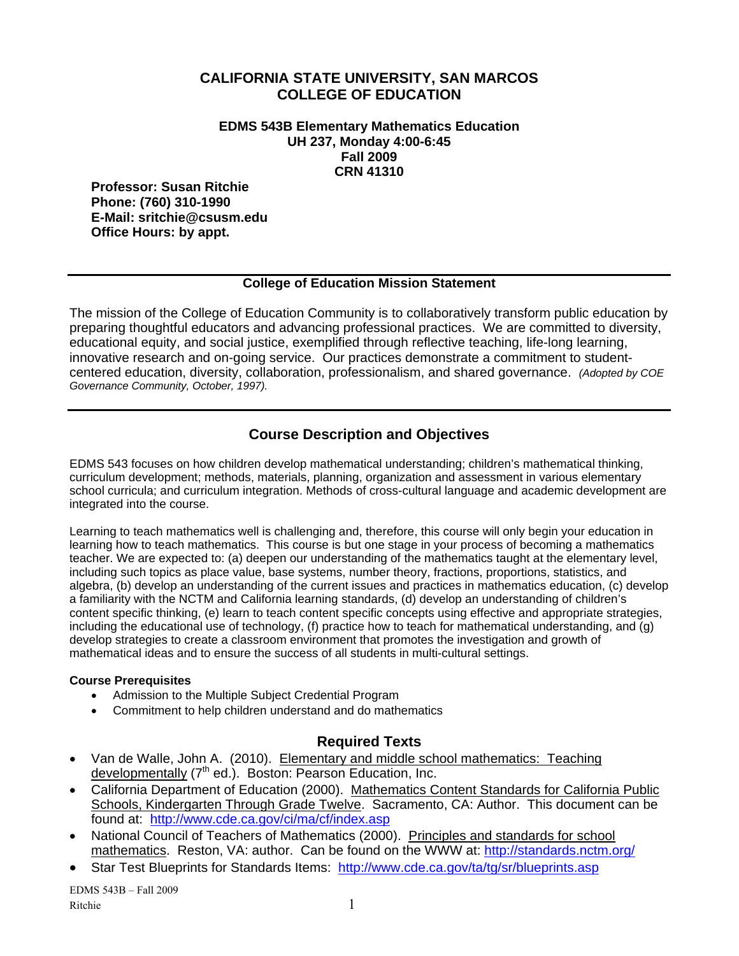# **CALIFORNIA STATE UNIVERSITY, SAN MARCOS COLLEGE OF EDUCATION**

**EDMS 543B Elementary Mathematics Education UH 237, Monday 4:00-6:45 Fall 2009 CRN 41310** 

**Professor: Susan Ritchie Phone: (760) 310-1990 E-Mail: sritchie@csusm.edu Office Hours: by appt.** 

### **College of Education Mission Statement**

The mission of the College of Education Community is to collaboratively transform public education by preparing thoughtful educators and advancing professional practices. We are committed to diversity, educational equity, and social justice, exemplified through reflective teaching, life-long learning, innovative research and on-going service. Our practices demonstrate a commitment to studentcentered education, diversity, collaboration, professionalism, and shared governance. *(Adopted by COE Governance Community, October, 1997).* 

# **Course Description and Objectives**

EDMS 543 focuses on how children develop mathematical understanding; children's mathematical thinking, curriculum development; methods, materials, planning, organization and assessment in various elementary school curricula; and curriculum integration. Methods of cross-cultural language and academic development are integrated into the course.

Learning to teach mathematics well is challenging and, therefore, this course will only begin your education in learning how to teach mathematics. This course is but one stage in your process of becoming a mathematics teacher. We are expected to: (a) deepen our understanding of the mathematics taught at the elementary level, including such topics as place value, base systems, number theory, fractions, proportions, statistics, and algebra, (b) develop an understanding of the current issues and practices in mathematics education, (c) develop a familiarity with the NCTM and California learning standards, (d) develop an understanding of children's content specific thinking, (e) learn to teach content specific concepts using effective and appropriate strategies, including the educational use of technology, (f) practice how to teach for mathematical understanding, and (g) develop strategies to create a classroom environment that promotes the investigation and growth of mathematical ideas and to ensure the success of all students in multi-cultural settings.

#### **Course Prerequisites**

- Admission to the Multiple Subject Credential Program
- Commitment to help children understand and do mathematics

# **Required Texts**

- Van de Walle, John A. (2010). Elementary and middle school mathematics: Teaching developmentally (7<sup>th</sup> ed.). Boston: Pearson Education, Inc.
- found at: http://www.cde.ca.gov/ci/ma/cf/index.asp • California Department of Education (2000). Mathematics Content Standards for California Public Schools, Kindergarten Through Grade Twelve. Sacramento, CA: Author. This document can be
- National Council of Teachers of Mathematics (2000). Principles and standards for school mathematics. Reston, VA: author. Can be found on the WWW at: http://standards.nctm.org/
- Star Test Blueprints for Standards Items: http://www.cde.ca.gov/ta/tg/sr/blueprints.asp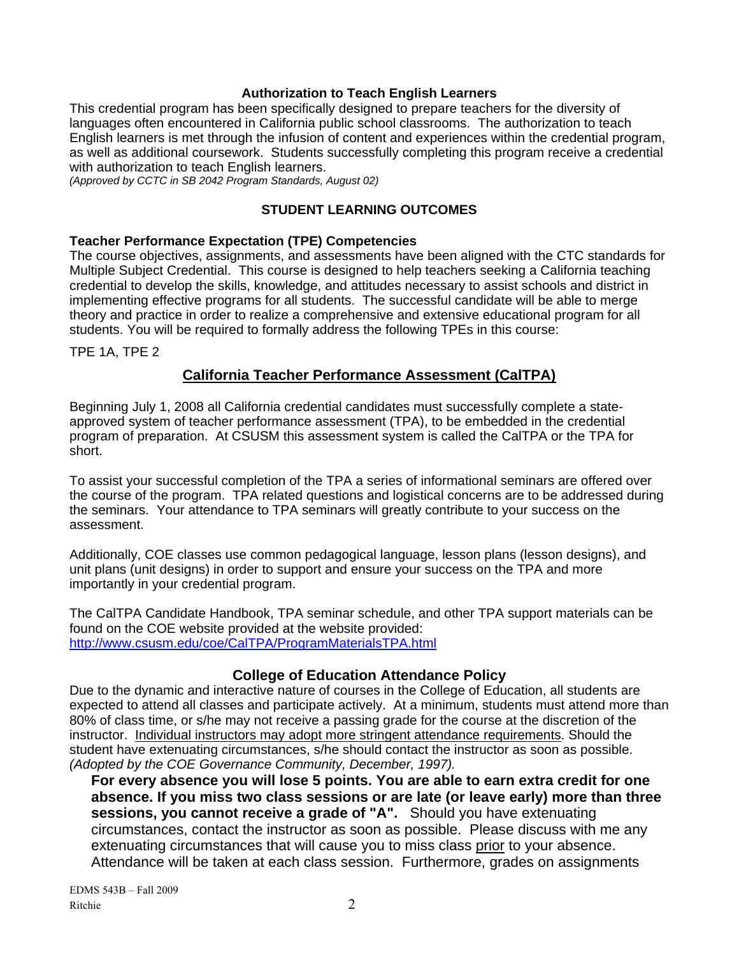### **Authorization to Teach English Learners**

This credential program has been specifically designed to prepare teachers for the diversity of languages often encountered in California public school classrooms. The authorization to teach English learners is met through the infusion of content and experiences within the credential program, as well as additional coursework. Students successfully completing this program receive a credential with authorization to teach English learners.

*(Approved by CCTC in SB 2042 Program Standards, August 02)* 

### **STUDENT LEARNING OUTCOMES**

#### **Teacher Performance Expectation (TPE) Competencies**

The course objectives, assignments, and assessments have been aligned with the CTC standards for Multiple Subject Credential. This course is designed to help teachers seeking a California teaching credential to develop the skills, knowledge, and attitudes necessary to assist schools and district in implementing effective programs for all students. The successful candidate will be able to merge theory and practice in order to realize a comprehensive and extensive educational program for all students. You will be required to formally address the following TPEs in this course:

TPE 1A, TPE 2

# **California Teacher Performance Assessment (CalTPA)**

Beginning July 1, 2008 all California credential candidates must successfully complete a stateapproved system of teacher performance assessment (TPA), to be embedded in the credential program of preparation. At CSUSM this assessment system is called the CalTPA or the TPA for short.

To assist your successful completion of the TPA a series of informational seminars are offered over the course of the program. TPA related questions and logistical concerns are to be addressed during the seminars. Your attendance to TPA seminars will greatly contribute to your success on the assessment.

Additionally, COE classes use common pedagogical language, lesson plans (lesson designs), and unit plans (unit designs) in order to support and ensure your success on the TPA and more importantly in your credential program.

 http://www.csusm.edu/coe/CalTPA/ProgramMaterialsTPA.html The CalTPA Candidate Handbook, TPA seminar schedule, and other TPA support materials can be found on the COE website provided at the website provided:

### **College of Education Attendance Policy**

Due to the dynamic and interactive nature of courses in the College of Education, all students are expected to attend all classes and participate actively. At a minimum, students must attend more than 80% of class time, or s/he may not receive a passing grade for the course at the discretion of the instructor. Individual instructors may adopt more stringent attendance requirements. Should the student have extenuating circumstances, s/he should contact the instructor as soon as possible. *(Adopted by the COE Governance Community, December, 1997).* 

**For every absence you will lose 5 points. You are able to earn extra credit for one absence. If you miss two class sessions or are late (or leave early) more than three sessions, you cannot receive a grade of "A".** Should you have extenuating circumstances, contact the instructor as soon as possible. Please discuss with me any extenuating circumstances that will cause you to miss class prior to your absence. Attendance will be taken at each class session. Furthermore, grades on assignments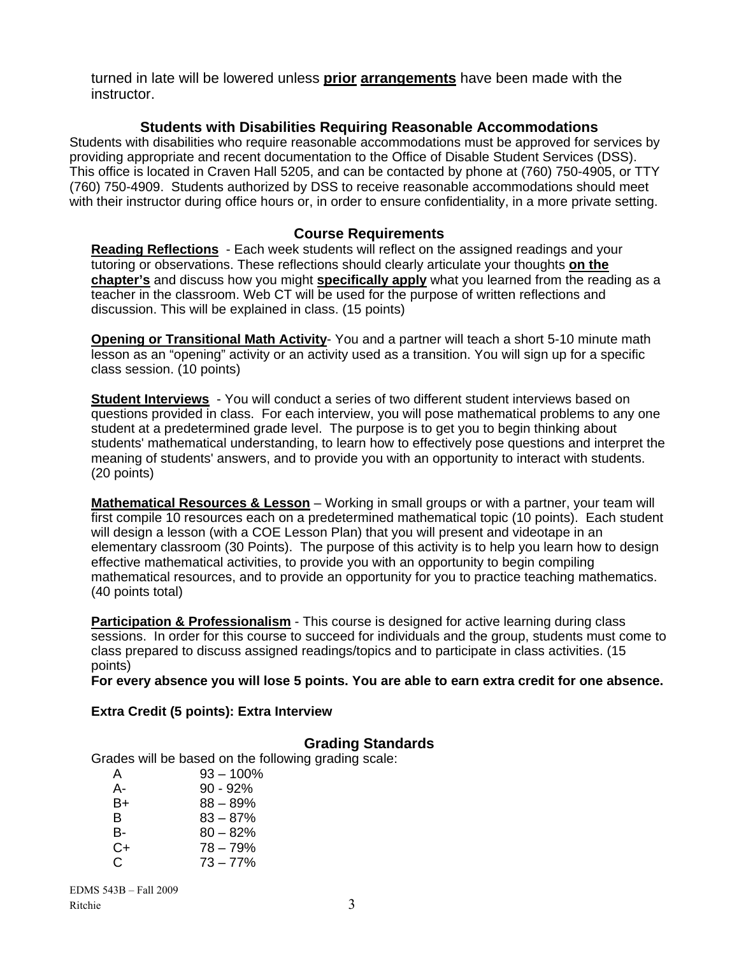turned in late will be lowered unless **prior arrangements** have been made with the instructor.

# **Students with Disabilities Requiring Reasonable Accommodations**

Students with disabilities who require reasonable accommodations must be approved for services by providing appropriate and recent documentation to the Office of Disable Student Services (DSS). This office is located in Craven Hall 5205, and can be contacted by phone at (760) 750-4905, or TTY (760) 750-4909. Students authorized by DSS to receive reasonable accommodations should meet with their instructor during office hours or, in order to ensure confidentiality, in a more private setting.

# **Course Requirements**

**Reading Reflections** - Each week students will reflect on the assigned readings and your tutoring or observations. These reflections should clearly articulate your thoughts **on the chapter's** and discuss how you might **specifically apply** what you learned from the reading as a teacher in the classroom. Web CT will be used for the purpose of written reflections and discussion. This will be explained in class. (15 points)

**Opening or Transitional Math Activity**- You and a partner will teach a short 5-10 minute math lesson as an "opening" activity or an activity used as a transition. You will sign up for a specific class session. (10 points)

**Student Interviews** - You will conduct a series of two different student interviews based on questions provided in class. For each interview, you will pose mathematical problems to any one student at a predetermined grade level. The purpose is to get you to begin thinking about students' mathematical understanding, to learn how to effectively pose questions and interpret the meaning of students' answers, and to provide you with an opportunity to interact with students. (20 points)

**Mathematical Resources & Lesson** – Working in small groups or with a partner, your team will first compile 10 resources each on a predetermined mathematical topic (10 points). Each student will design a lesson (with a COE Lesson Plan) that you will present and videotape in an elementary classroom (30 Points). The purpose of this activity is to help you learn how to design effective mathematical activities, to provide you with an opportunity to begin compiling mathematical resources, and to provide an opportunity for you to practice teaching mathematics. (40 points total)

**Participation & Professionalism** - This course is designed for active learning during class sessions. In order for this course to succeed for individuals and the group, students must come to class prepared to discuss assigned readings/topics and to participate in class activities. (15 points)

**For every absence you will lose 5 points. You are able to earn extra credit for one absence.** 

### **Extra Credit (5 points): Extra Interview**

### **Grading Standards**

Grades will be based on the following grading scale:

| A  | $93 - 100\%$ |
|----|--------------|
| А- | $90 - 92%$   |
| B+ | $88 - 89%$   |
| B  | $83 - 87%$   |
| B- | $80 - 82%$   |
| C+ | $78 - 79%$   |
| C. | $73 - 77%$   |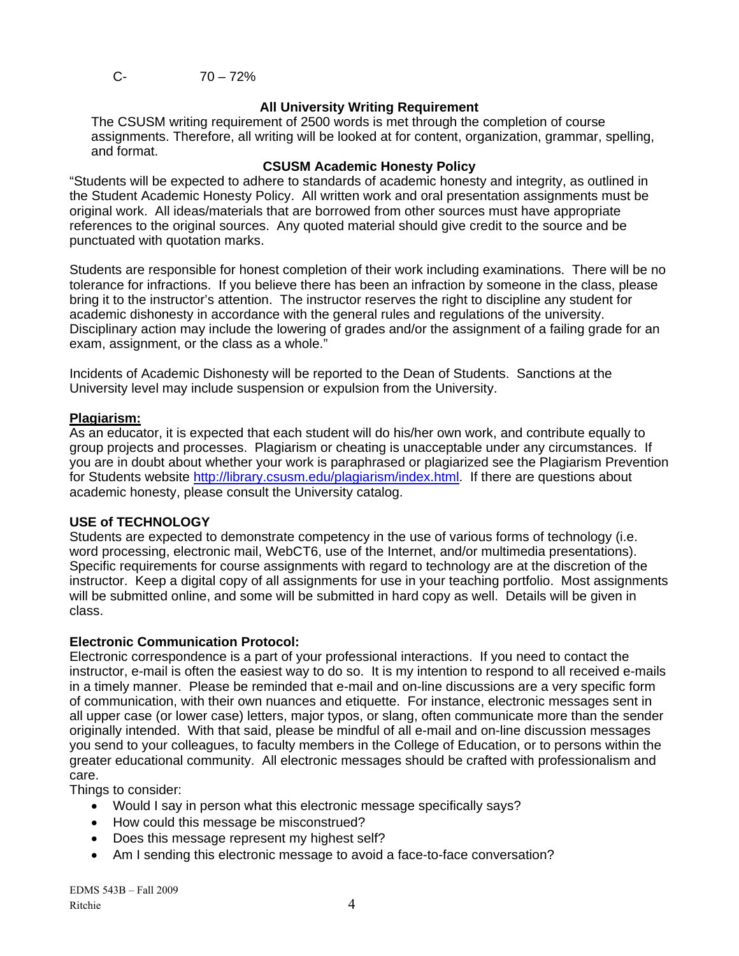# **All University Writing Requirement**

The CSUSM writing requirement of 2500 words is met through the completion of course assignments. Therefore, all writing will be looked at for content, organization, grammar, spelling, and format.

# **CSUSM Academic Honesty Policy**

"Students will be expected to adhere to standards of academic honesty and integrity, as outlined in the Student Academic Honesty Policy. All written work and oral presentation assignments must be original work. All ideas/materials that are borrowed from other sources must have appropriate references to the original sources. Any quoted material should give credit to the source and be punctuated with quotation marks.

Students are responsible for honest completion of their work including examinations. There will be no tolerance for infractions. If you believe there has been an infraction by someone in the class, please bring it to the instructor's attention. The instructor reserves the right to discipline any student for academic dishonesty in accordance with the general rules and regulations of the university. Disciplinary action may include the lowering of grades and/or the assignment of a failing grade for an exam, assignment, or the class as a whole."

Incidents of Academic Dishonesty will be reported to the Dean of Students. Sanctions at the University level may include suspension or expulsion from the University.

### **Plagiarism:**

As an educator, it is expected that each student will do his/her own work, and contribute equally to group projects and processes. Plagiarism or cheating is unacceptable under any circumstances. If you are in doubt about whether your work is paraphrased or plagiarized see the Plagiarism Prevention for Students website http://library.csusm.edu/plagiarism/index.html. If there are questions about academic honesty, please consult the University catalog.

### **USE of TECHNOLOGY**

Students are expected to demonstrate competency in the use of various forms of technology (i.e. word processing, electronic mail, WebCT6, use of the Internet, and/or multimedia presentations). Specific requirements for course assignments with regard to technology are at the discretion of the instructor. Keep a digital copy of all assignments for use in your teaching portfolio. Most assignments will be submitted online, and some will be submitted in hard copy as well. Details will be given in class.

#### **Electronic Communication Protocol:**

Electronic correspondence is a part of your professional interactions. If you need to contact the instructor, e-mail is often the easiest way to do so. It is my intention to respond to all received e-mails in a timely manner. Please be reminded that e-mail and on-line discussions are a very specific form of communication, with their own nuances and etiquette. For instance, electronic messages sent in all upper case (or lower case) letters, major typos, or slang, often communicate more than the sender originally intended. With that said, please be mindful of all e-mail and on-line discussion messages you send to your colleagues, to faculty members in the College of Education, or to persons within the greater educational community. All electronic messages should be crafted with professionalism and care.

Things to consider:

- Would I say in person what this electronic message specifically says?
- How could this message be misconstrued?
- Does this message represent my highest self?
- Am I sending this electronic message to avoid a face-to-face conversation?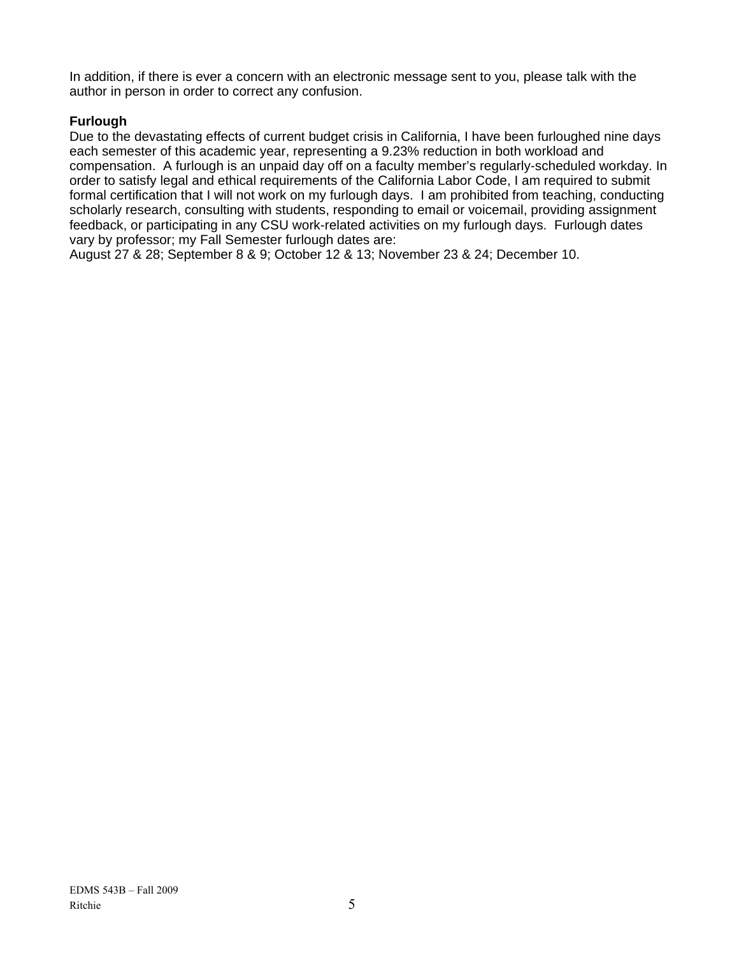In addition, if there is ever a concern with an electronic message sent to you, please talk with the author in person in order to correct any confusion.

# **Furlough**

Due to the devastating effects of current budget crisis in California, I have been furloughed nine days each semester of this academic year, representing a 9.23% reduction in both workload and compensation. A furlough is an unpaid day off on a faculty member's regularly-scheduled workday. In order to satisfy legal and ethical requirements of the California Labor Code, I am required to submit formal certification that I will not work on my furlough days. I am prohibited from teaching, conducting scholarly research, consulting with students, responding to email or voicemail, providing assignment feedback, or participating in any CSU work-related activities on my furlough days. Furlough dates vary by professor; my Fall Semester furlough dates are:

August 27 & 28; September 8 & 9; October 12 & 13; November 23 & 24; December 10.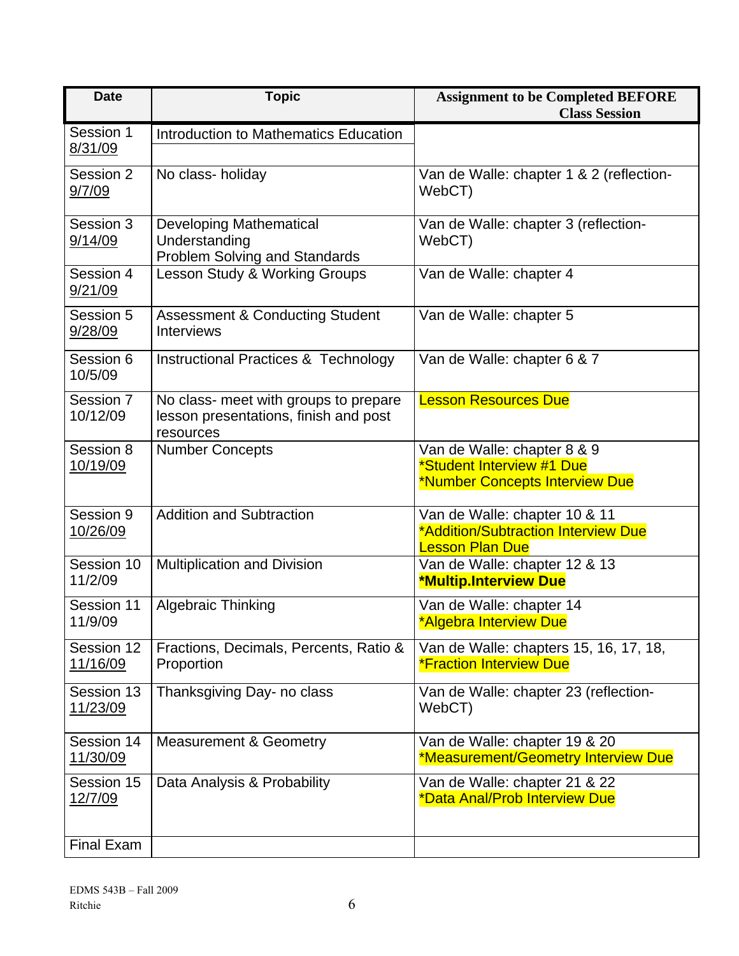| <b>Date</b>            | <b>Topic</b>                                                                                | <b>Assignment to be Completed BEFORE</b><br><b>Class Session</b>                               |
|------------------------|---------------------------------------------------------------------------------------------|------------------------------------------------------------------------------------------------|
| Session 1<br>8/31/09   | Introduction to Mathematics Education                                                       |                                                                                                |
| Session 2<br>9/7/09    | No class-holiday                                                                            | Van de Walle: chapter 1 & 2 (reflection-<br>WebCT)                                             |
| Session 3<br>9/14/09   | <b>Developing Mathematical</b><br>Understanding<br><b>Problem Solving and Standards</b>     | Van de Walle: chapter 3 (reflection-<br>WebCT)                                                 |
| Session 4<br>9/21/09   | Lesson Study & Working Groups                                                               | Van de Walle: chapter 4                                                                        |
| Session 5<br>9/28/09   | <b>Assessment &amp; Conducting Student</b><br><b>Interviews</b>                             | Van de Walle: chapter 5                                                                        |
| Session 6<br>10/5/09   | <b>Instructional Practices &amp; Technology</b>                                             | Van de Walle: chapter 6 & 7                                                                    |
| Session 7<br>10/12/09  | No class- meet with groups to prepare<br>lesson presentations, finish and post<br>resources | <b>Lesson Resources Due</b>                                                                    |
| Session 8<br>10/19/09  | <b>Number Concepts</b>                                                                      | Van de Walle: chapter 8 & 9<br>*Student Interview #1 Due<br>*Number Concepts Interview Due     |
| Session 9<br>10/26/09  | <b>Addition and Subtraction</b>                                                             | Van de Walle: chapter 10 & 11<br>*Addition/Subtraction Interview Due<br><b>Lesson Plan Due</b> |
| Session 10<br>11/2/09  | Multiplication and Division                                                                 | Van de Walle: chapter 12 & 13<br><b>*Multip.Interview Due</b>                                  |
| Session 11<br>11/9/09  | <b>Algebraic Thinking</b>                                                                   | Van de Walle: chapter 14<br><u>*Algebra Interview Due</u>                                      |
| Session 12<br>11/16/09 | Fractions, Decimals, Percents, Ratio &<br>Proportion                                        | Van de Walle: chapters 15, 16, 17, 18,<br><b>*Fraction Interview Due</b>                       |
| Session 13<br>11/23/09 | Thanksgiving Day- no class                                                                  | Van de Walle: chapter 23 (reflection-<br>WebCT)                                                |
| Session 14<br>11/30/09 | <b>Measurement &amp; Geometry</b>                                                           | Van de Walle: chapter 19 & 20<br>*Measurement/Geometry Interview Due                           |
| Session 15<br>12/7/09  | Data Analysis & Probability                                                                 | Van de Walle: chapter 21 & 22<br>*Data Anal/Prob Interview Due                                 |
| <b>Final Exam</b>      |                                                                                             |                                                                                                |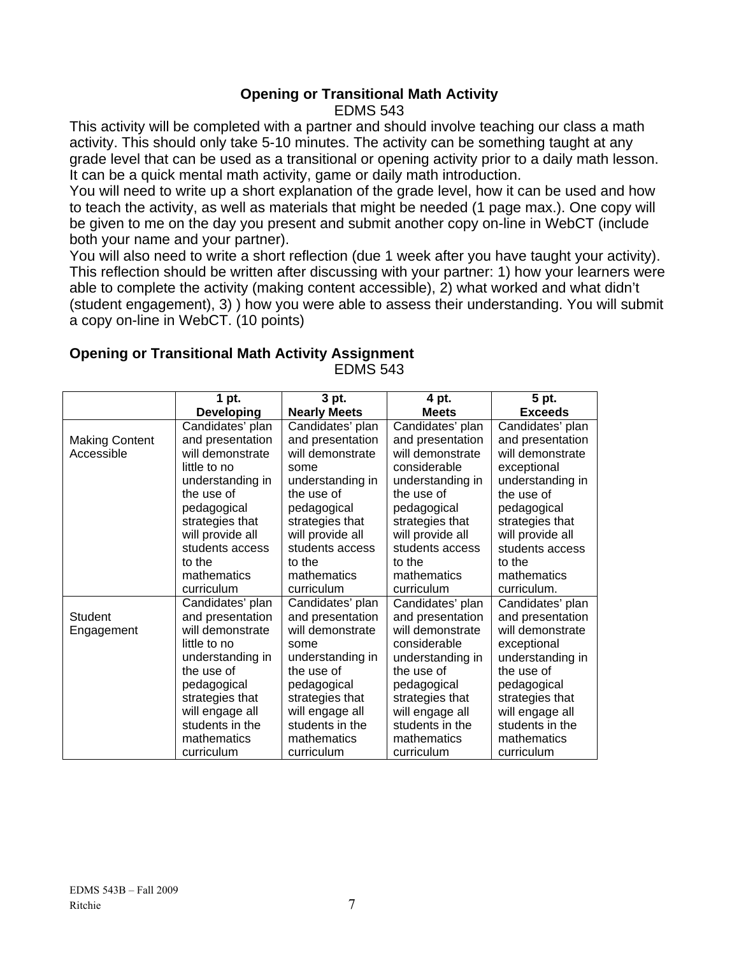### **Opening or Transitional Math Activity** EDMS 543

This activity will be completed with a partner and should involve teaching our class a math activity. This should only take 5-10 minutes. The activity can be something taught at any grade level that can be used as a transitional or opening activity prior to a daily math lesson. It can be a quick mental math activity, game or daily math introduction.

You will need to write up a short explanation of the grade level, how it can be used and how to teach the activity, as well as materials that might be needed (1 page max.). One copy will be given to me on the day you present and submit another copy on-line in WebCT (include both your name and your partner).

You will also need to write a short reflection (due 1 week after you have taught your activity). This reflection should be written after discussing with your partner: 1) how your learners were able to complete the activity (making content accessible), 2) what worked and what didn't (student engagement), 3) ) how you were able to assess their understanding. You will submit a copy on-line in WebCT. (10 points)

|                       | 1 pt.             | 3 pt.               | 4 pt.            | 5 pt.            |
|-----------------------|-------------------|---------------------|------------------|------------------|
|                       | <b>Developing</b> | <b>Nearly Meets</b> | <b>Meets</b>     | <b>Exceeds</b>   |
|                       | Candidates' plan  | Candidates' plan    | Candidates' plan | Candidates' plan |
| <b>Making Content</b> | and presentation  | and presentation    | and presentation | and presentation |
| Accessible            | will demonstrate  | will demonstrate    | will demonstrate | will demonstrate |
|                       | little to no      | some                | considerable     | exceptional      |
|                       | understanding in  | understanding in    | understanding in | understanding in |
|                       | the use of        | the use of          | the use of       | the use of       |
|                       | pedagogical       | pedagogical         | pedagogical      | pedagogical      |
|                       | strategies that   | strategies that     | strategies that  | strategies that  |
|                       | will provide all  | will provide all    | will provide all | will provide all |
|                       | students access   | students access     | students access  | students access  |
|                       | to the            | to the              | to the           | to the           |
|                       | mathematics       | mathematics         | mathematics      | mathematics      |
|                       | curriculum        | curriculum          | curriculum       | curriculum.      |
|                       | Candidates' plan  | Candidates' plan    | Candidates' plan | Candidates' plan |
| Student               | and presentation  | and presentation    | and presentation | and presentation |
| Engagement            | will demonstrate  | will demonstrate    | will demonstrate | will demonstrate |
|                       | little to no      | some                | considerable     | exceptional      |
|                       | understanding in  | understanding in    | understanding in | understanding in |
|                       | the use of        | the use of          | the use of       | the use of       |
|                       | pedagogical       | pedagogical         | pedagogical      | pedagogical      |
|                       | strategies that   | strategies that     | strategies that  | strategies that  |
|                       | will engage all   | will engage all     | will engage all  | will engage all  |
|                       | students in the   | students in the     | students in the  | students in the  |
|                       | mathematics       | mathematics         | mathematics      | mathematics      |
|                       | curriculum        | curriculum          | curriculum       | curriculum       |

#### **Opening or Transitional Math Activity Assignment**  EDMS 543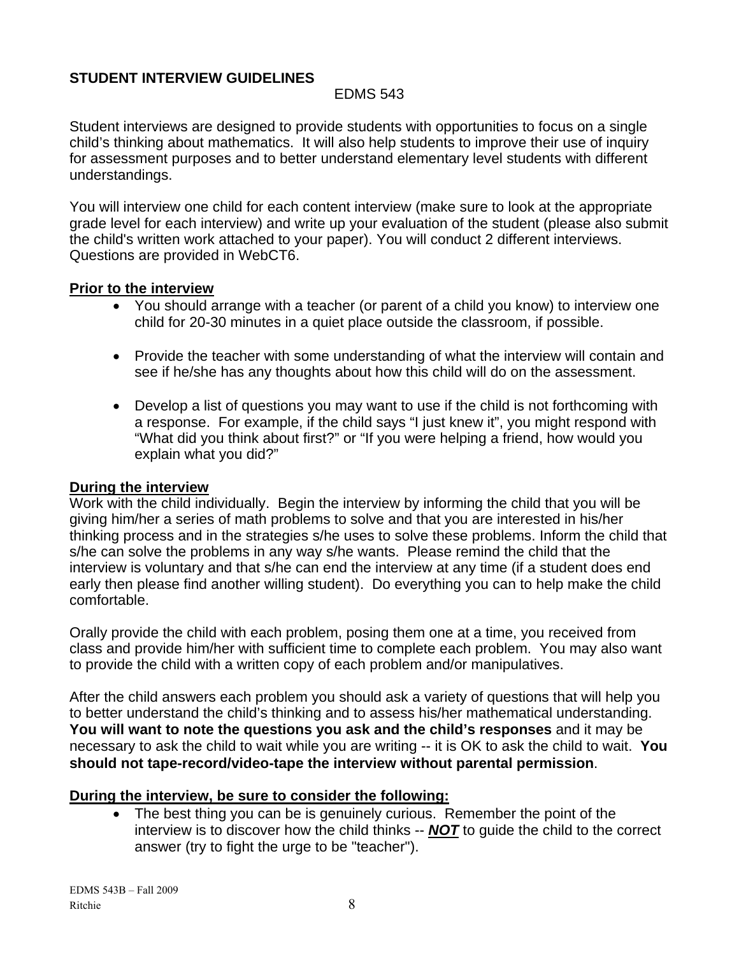# **STUDENT INTERVIEW GUIDELINES**

# EDMS 543

Student interviews are designed to provide students with opportunities to focus on a single child's thinking about mathematics. It will also help students to improve their use of inquiry for assessment purposes and to better understand elementary level students with different understandings.

You will interview one child for each content interview (make sure to look at the appropriate grade level for each interview) and write up your evaluation of the student (please also submit the child's written work attached to your paper). You will conduct 2 different interviews. Questions are provided in WebCT6.

# **Prior to the interview**

- You should arrange with a teacher (or parent of a child you know) to interview one child for 20-30 minutes in a quiet place outside the classroom, if possible.
- Provide the teacher with some understanding of what the interview will contain and see if he/she has any thoughts about how this child will do on the assessment.
- Develop a list of questions you may want to use if the child is not forthcoming with a response. For example, if the child says "I just knew it", you might respond with "What did you think about first?" or "If you were helping a friend, how would you explain what you did?"

# **During the interview**

Work with the child individually. Begin the interview by informing the child that you will be giving him/her a series of math problems to solve and that you are interested in his/her thinking process and in the strategies s/he uses to solve these problems. Inform the child that s/he can solve the problems in any way s/he wants. Please remind the child that the interview is voluntary and that s/he can end the interview at any time (if a student does end early then please find another willing student). Do everything you can to help make the child comfortable.

Orally provide the child with each problem, posing them one at a time, you received from class and provide him/her with sufficient time to complete each problem. You may also want to provide the child with a written copy of each problem and/or manipulatives.

After the child answers each problem you should ask a variety of questions that will help you to better understand the child's thinking and to assess his/her mathematical understanding. **You will want to note the questions you ask and the child's responses** and it may be necessary to ask the child to wait while you are writing -- it is OK to ask the child to wait. **You should not tape-record/video-tape the interview without parental permission**.

# **During the interview, be sure to consider the following:**

• The best thing you can be is genuinely curious. Remember the point of the interview is to discover how the child thinks -- *NOT* to guide the child to the correct answer (try to fight the urge to be "teacher").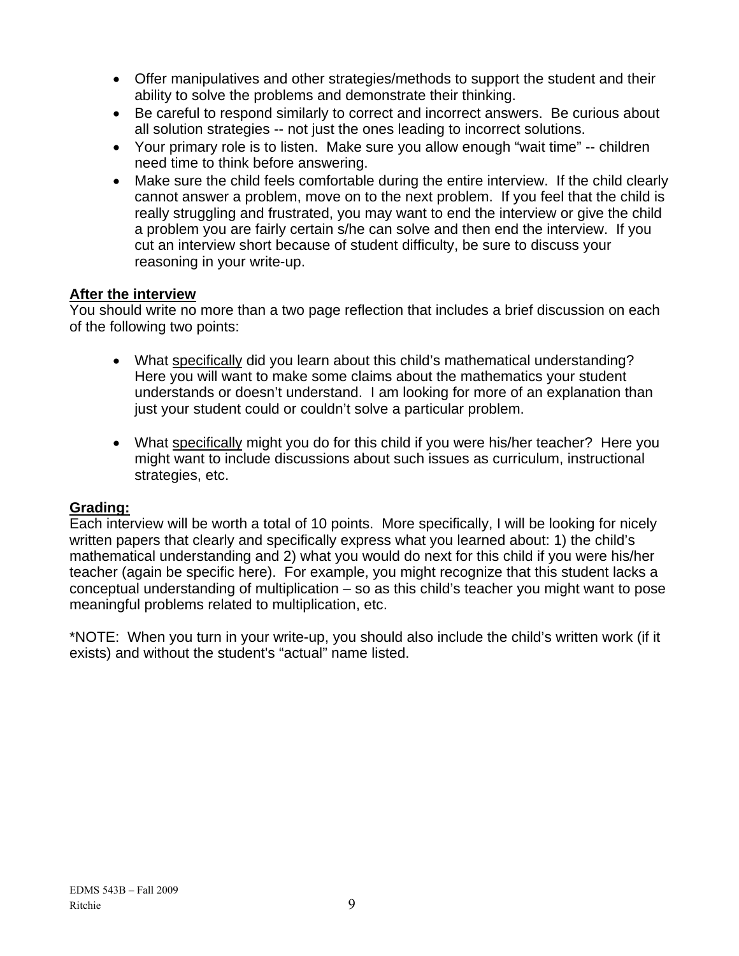- Offer manipulatives and other strategies/methods to support the student and their ability to solve the problems and demonstrate their thinking.
- Be careful to respond similarly to correct and incorrect answers. Be curious about all solution strategies -- not just the ones leading to incorrect solutions.
- Your primary role is to listen. Make sure you allow enough "wait time" -- children need time to think before answering.
- Make sure the child feels comfortable during the entire interview. If the child clearly cannot answer a problem, move on to the next problem. If you feel that the child is really struggling and frustrated, you may want to end the interview or give the child a problem you are fairly certain s/he can solve and then end the interview. If you cut an interview short because of student difficulty, be sure to discuss your reasoning in your write-up.

# **After the interview**

You should write no more than a two page reflection that includes a brief discussion on each of the following two points:

- What specifically did you learn about this child's mathematical understanding? Here you will want to make some claims about the mathematics your student understands or doesn't understand. I am looking for more of an explanation than just your student could or couldn't solve a particular problem.
- What specifically might you do for this child if you were his/her teacher? Here you might want to include discussions about such issues as curriculum, instructional strategies, etc.

# **Grading:**

Each interview will be worth a total of 10 points. More specifically, I will be looking for nicely written papers that clearly and specifically express what you learned about: 1) the child's mathematical understanding and 2) what you would do next for this child if you were his/her teacher (again be specific here). For example, you might recognize that this student lacks a conceptual understanding of multiplication – so as this child's teacher you might want to pose meaningful problems related to multiplication, etc.

\*NOTE: When you turn in your write-up, you should also include the child's written work (if it exists) and without the student's "actual" name listed.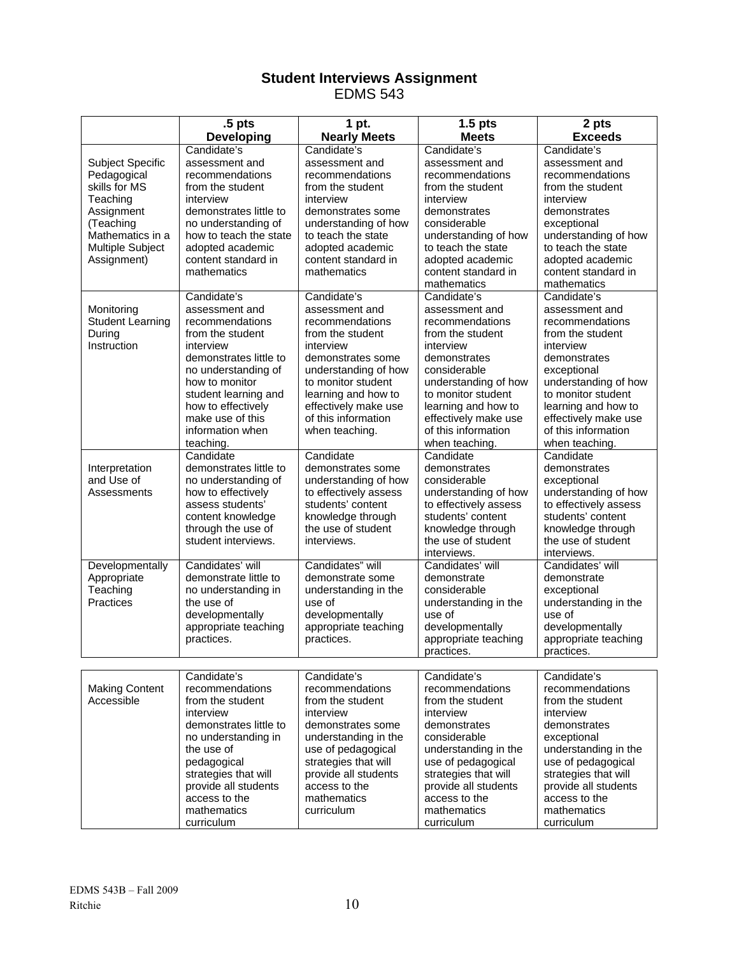### **Student Interviews Assignment**  EDMS 543

|                         | .5 <sub>pts</sub>             | 1 pt.                         | $1.5$ pts                     | 2 pts                         |
|-------------------------|-------------------------------|-------------------------------|-------------------------------|-------------------------------|
|                         | <b>Developing</b>             | <b>Nearly Meets</b>           | <b>Meets</b>                  | <b>Exceeds</b>                |
|                         | Candidate's                   | Candidate's                   | Candidate's                   | Candidate's                   |
| Subject Specific        | assessment and                | assessment and                | assessment and                | assessment and                |
| Pedagogical             | recommendations               | recommendations               | recommendations               | recommendations               |
| skills for MS           | from the student              | from the student              | from the student              | from the student              |
| Teaching                | interview                     | interview                     | interview                     | interview                     |
| Assignment              | demonstrates little to        | demonstrates some             | demonstrates                  | demonstrates                  |
| (Teaching               | no understanding of           | understanding of how          | considerable                  | exceptional                   |
| Mathematics in a        | how to teach the state        | to teach the state            | understanding of how          | understanding of how          |
| Multiple Subject        | adopted academic              | adopted academic              | to teach the state            | to teach the state            |
| Assignment)             | content standard in           | content standard in           | adopted academic              | adopted academic              |
|                         | mathematics                   | mathematics                   | content standard in           | content standard in           |
|                         |                               |                               | mathematics                   | mathematics                   |
|                         | Candidate's                   | Candidate's                   | Candidate's                   | Candidate's                   |
| Monitoring              | assessment and                | assessment and                | assessment and                | assessment and                |
| <b>Student Learning</b> | recommendations               | recommendations               | recommendations               | recommendations               |
| During<br>Instruction   | from the student<br>interview | from the student<br>interview | from the student<br>interview | from the student<br>interview |
|                         | demonstrates little to        | demonstrates some             | demonstrates                  | demonstrates                  |
|                         | no understanding of           | understanding of how          | considerable                  | exceptional                   |
|                         | how to monitor                | to monitor student            | understanding of how          | understanding of how          |
|                         | student learning and          | learning and how to           | to monitor student            | to monitor student            |
|                         | how to effectively            | effectively make use          | learning and how to           | learning and how to           |
|                         | make use of this              | of this information           | effectively make use          | effectively make use          |
|                         | information when              | when teaching.                | of this information           | of this information           |
|                         | teaching.                     |                               | when teaching.                | when teaching                 |
|                         | Candidate                     | Candidate                     | Candidate                     | Candidate                     |
| Interpretation          | demonstrates little to        | demonstrates some             | demonstrates                  | demonstrates                  |
| and Use of              | no understanding of           | understanding of how          | considerable                  | exceptional                   |
| Assessments             | how to effectively            | to effectively assess         | understanding of how          | understanding of how          |
|                         | assess students'              | students' content             | to effectively assess         | to effectively assess         |
|                         | content knowledge             | knowledge through             | students' content             | students' content             |
|                         | through the use of            | the use of student            | knowledge through             | knowledge through             |
|                         | student interviews.           | interviews.                   | the use of student            | the use of student            |
|                         |                               |                               | interviews.                   | interviews.                   |
| Developmentally         | Candidates' will              | Candidates" will              | Candidates' will              | Candidates' will              |
| Appropriate             | demonstrate little to         | demonstrate some              | demonstrate                   | demonstrate                   |
| Teaching                | no understanding in           | understanding in the          | considerable                  | exceptional                   |
| Practices               | the use of                    | use of                        | understanding in the          | understanding in the          |
|                         | developmentally               | developmentally               | use of                        | use of                        |
|                         | appropriate teaching          | appropriate teaching          | developmentally               | developmentally               |
|                         | practices.                    | practices.                    | appropriate teaching          | appropriate teaching          |
|                         |                               |                               | practices.                    | practices.                    |
|                         | Candidate's                   | Candidate's                   | Candidate's                   | Candidate's                   |
| <b>Making Content</b>   | recommendations               | recommendations               | recommendations               | recommendations               |
| Accessible              | from the student              | from the student              | from the student              | from the student              |
|                         | interview                     | interview                     | interview                     | interview                     |
|                         | demonstrates little to        | demonstrates some             | demonstrates                  | demonstrates                  |
|                         | no understanding in           | understanding in the          | considerable                  | exceptional                   |
|                         | the use of                    | use of pedagogical            | understanding in the          | understanding in the          |
|                         | pedagogical                   | strategies that will          | use of pedagogical            | use of pedagogical            |
|                         | strategies that will          | provide all students          | strategies that will          | strategies that will          |
|                         | provide all students          | access to the                 | provide all students          | provide all students          |
|                         | access to the                 | mathematics                   | access to the                 | access to the                 |
|                         | mathematics                   | curriculum                    | mathematics                   | mathematics                   |
|                         | curriculum                    |                               | curriculum                    | curriculum                    |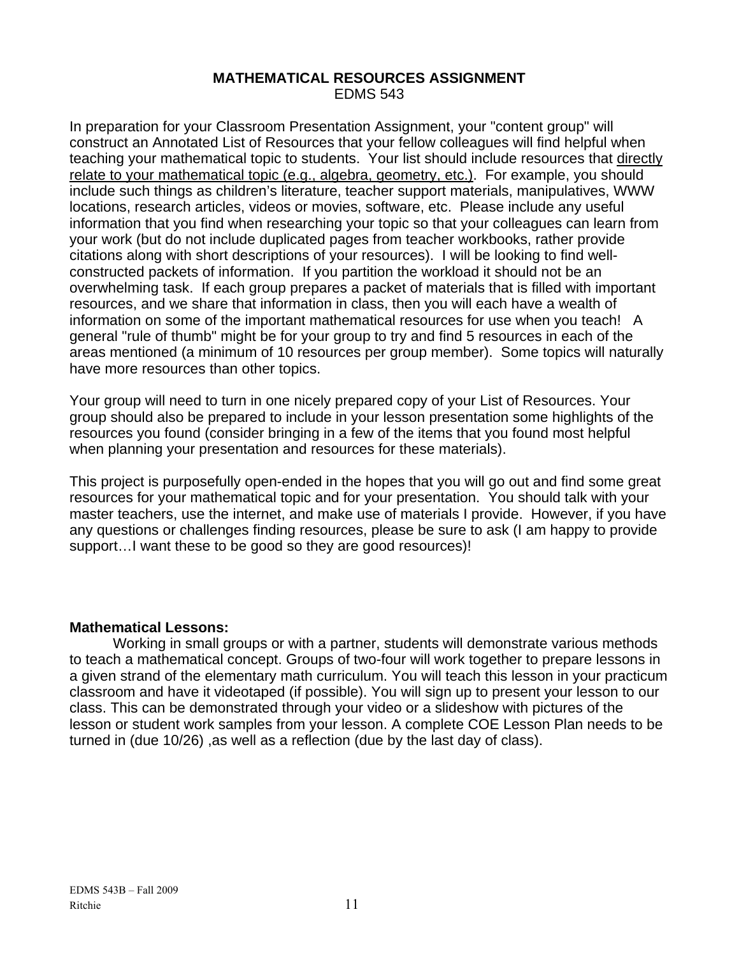### **MATHEMATICAL RESOURCES ASSIGNMENT**  EDMS 543

In preparation for your Classroom Presentation Assignment, your "content group" will construct an Annotated List of Resources that your fellow colleagues will find helpful when teaching your mathematical topic to students. Your list should include resources that directly relate to your mathematical topic (e.g., algebra, geometry, etc.). For example, you should include such things as children's literature, teacher support materials, manipulatives, WWW locations, research articles, videos or movies, software, etc. Please include any useful information that you find when researching your topic so that your colleagues can learn from your work (but do not include duplicated pages from teacher workbooks, rather provide citations along with short descriptions of your resources). I will be looking to find wellconstructed packets of information. If you partition the workload it should not be an overwhelming task. If each group prepares a packet of materials that is filled with important resources, and we share that information in class, then you will each have a wealth of information on some of the important mathematical resources for use when you teach! A general "rule of thumb" might be for your group to try and find 5 resources in each of the areas mentioned (a minimum of 10 resources per group member). Some topics will naturally have more resources than other topics.

Your group will need to turn in one nicely prepared copy of your List of Resources. Your group should also be prepared to include in your lesson presentation some highlights of the resources you found (consider bringing in a few of the items that you found most helpful when planning your presentation and resources for these materials).

This project is purposefully open-ended in the hopes that you will go out and find some great resources for your mathematical topic and for your presentation. You should talk with your master teachers, use the internet, and make use of materials I provide. However, if you have any questions or challenges finding resources, please be sure to ask (I am happy to provide support…I want these to be good so they are good resources)!

### **Mathematical Lessons:**

Working in small groups or with a partner, students will demonstrate various methods to teach a mathematical concept. Groups of two-four will work together to prepare lessons in a given strand of the elementary math curriculum. You will teach this lesson in your practicum classroom and have it videotaped (if possible). You will sign up to present your lesson to our class. This can be demonstrated through your video or a slideshow with pictures of the lesson or student work samples from your lesson. A complete COE Lesson Plan needs to be turned in (due 10/26) ,as well as a reflection (due by the last day of class).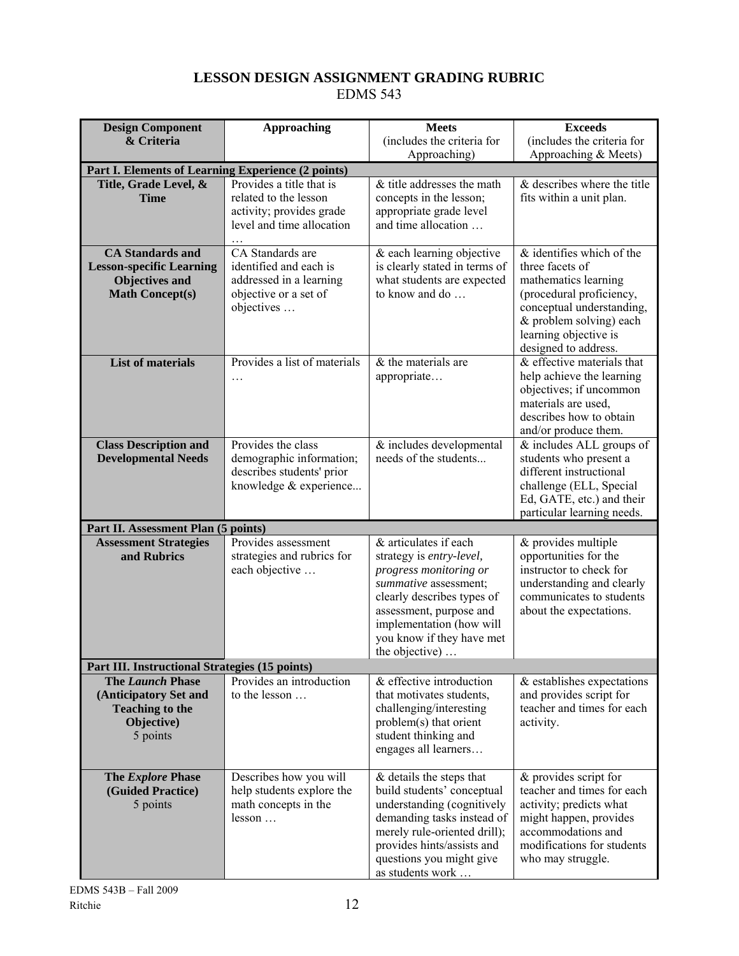# **LESSON DESIGN ASSIGNMENT GRADING RUBRIC**  EDMS 543

| <b>Design Component</b>                                                                                       | <b>Approaching</b>                                                                                           | <b>Meets</b>                                                                                                                                                                                                                             | <b>Exceeds</b>                                                                                                                                                                                              |  |  |
|---------------------------------------------------------------------------------------------------------------|--------------------------------------------------------------------------------------------------------------|------------------------------------------------------------------------------------------------------------------------------------------------------------------------------------------------------------------------------------------|-------------------------------------------------------------------------------------------------------------------------------------------------------------------------------------------------------------|--|--|
| & Criteria                                                                                                    |                                                                                                              | (includes the criteria for                                                                                                                                                                                                               | (includes the criteria for                                                                                                                                                                                  |  |  |
|                                                                                                               |                                                                                                              | Approaching)                                                                                                                                                                                                                             | Approaching & Meets)                                                                                                                                                                                        |  |  |
|                                                                                                               | Part I. Elements of Learning Experience (2 points)                                                           |                                                                                                                                                                                                                                          |                                                                                                                                                                                                             |  |  |
| Title, Grade Level, &<br><b>Time</b>                                                                          | Provides a title that is<br>related to the lesson<br>activity; provides grade<br>level and time allocation   | & title addresses the math<br>concepts in the lesson;<br>appropriate grade level<br>and time allocation                                                                                                                                  | & describes where the title<br>fits within a unit plan.                                                                                                                                                     |  |  |
| <b>CA Standards and</b><br><b>Lesson-specific Learning</b><br><b>Objectives and</b><br><b>Math Concept(s)</b> | CA Standards are<br>identified and each is<br>addressed in a learning<br>objective or a set of<br>objectives | & each learning objective<br>is clearly stated in terms of<br>what students are expected<br>to know and do                                                                                                                               | $&$ identifies which of the<br>three facets of<br>mathematics learning<br>(procedural proficiency,<br>conceptual understanding,<br>& problem solving) each<br>learning objective is<br>designed to address. |  |  |
| <b>List of materials</b>                                                                                      | Provides a list of materials<br>.                                                                            | & the materials are<br>appropriate                                                                                                                                                                                                       | & effective materials that<br>help achieve the learning<br>objectives; if uncommon<br>materials are used,<br>describes how to obtain<br>and/or produce them.                                                |  |  |
| <b>Class Description and</b><br><b>Developmental Needs</b>                                                    | Provides the class<br>demographic information;<br>describes students' prior<br>knowledge & experience        | & includes developmental<br>needs of the students                                                                                                                                                                                        | & includes ALL groups of<br>students who present a<br>different instructional<br>challenge (ELL, Special<br>Ed, GATE, etc.) and their<br>particular learning needs.                                         |  |  |
| Part II. Assessment Plan (5 points)                                                                           |                                                                                                              |                                                                                                                                                                                                                                          |                                                                                                                                                                                                             |  |  |
| <b>Assessment Strategies</b><br>and Rubrics                                                                   | Provides assessment<br>strategies and rubrics for<br>each objective                                          | & articulates if each<br>strategy is entry-level,<br>progress monitoring or<br>summative assessment;<br>clearly describes types of<br>assessment, purpose and<br>implementation (how will<br>you know if they have met<br>the objective) | & provides multiple<br>opportunities for the<br>instructor to check for<br>understanding and clearly<br>communicates to students<br>about the expectations.                                                 |  |  |
| Part III. Instructional Strategies (15 points)                                                                |                                                                                                              |                                                                                                                                                                                                                                          |                                                                                                                                                                                                             |  |  |
| <b>The Launch Phase</b><br>(Anticipatory Set and<br><b>Teaching to the</b><br>Objective)<br>5 points          | Provides an introduction<br>to the lesson                                                                    | & effective introduction<br>that motivates students,<br>challenging/interesting<br>problem(s) that orient<br>student thinking and<br>engages all learners                                                                                | & establishes expectations<br>and provides script for<br>teacher and times for each<br>activity.                                                                                                            |  |  |
| The <i>Explore</i> Phase<br>(Guided Practice)<br>5 points                                                     | Describes how you will<br>help students explore the<br>math concepts in the<br>lesson                        | & details the steps that<br>build students' conceptual<br>understanding (cognitively<br>demanding tasks instead of<br>merely rule-oriented drill);<br>provides hints/assists and<br>questions you might give<br>as students work         | & provides script for<br>teacher and times for each<br>activity; predicts what<br>might happen, provides<br>accommodations and<br>modifications for students<br>who may struggle.                           |  |  |